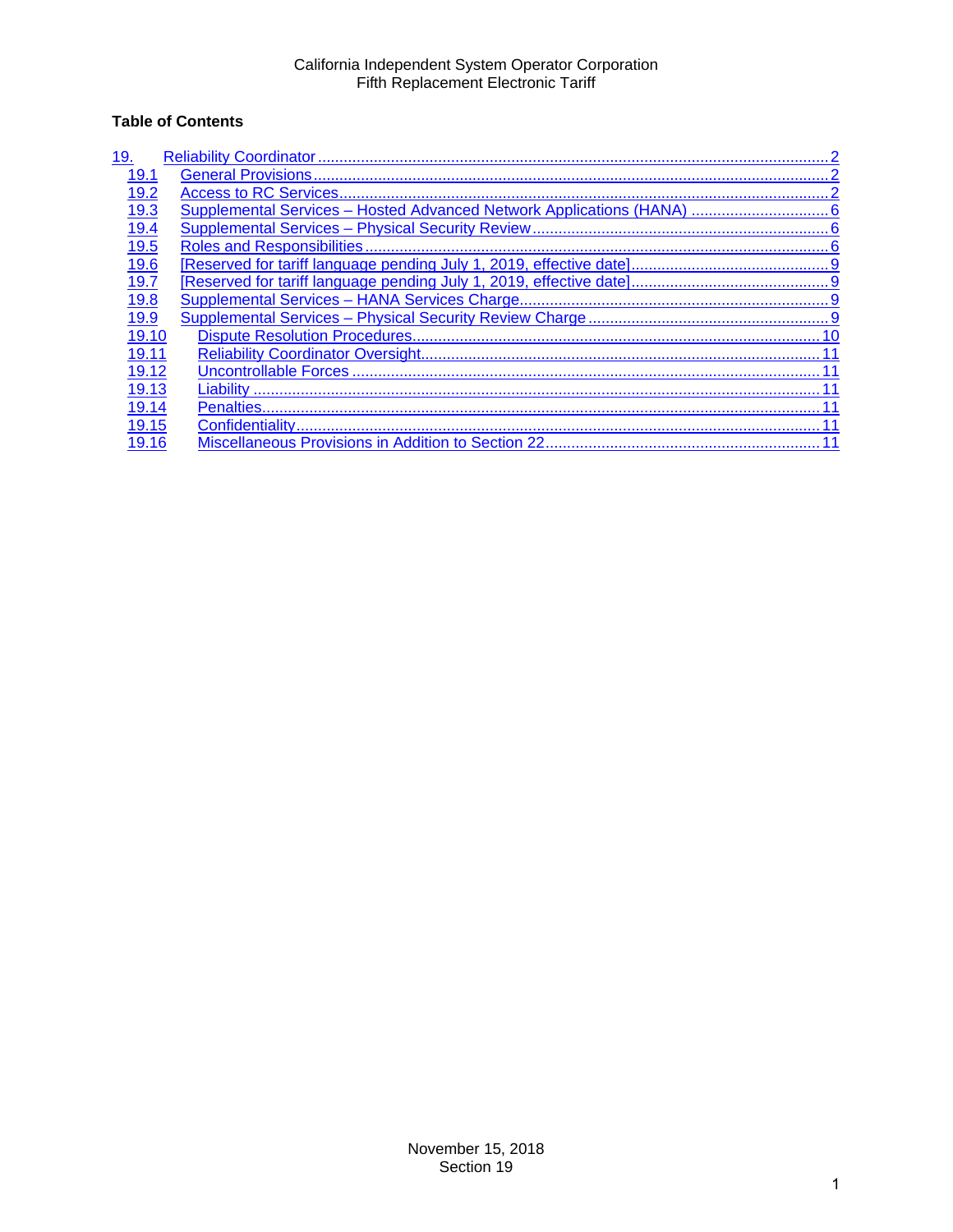# **Table of Contents**

| 19.   |                                                                        |
|-------|------------------------------------------------------------------------|
| 19.1  |                                                                        |
| 19.2  |                                                                        |
| 19.3  | Supplemental Services - Hosted Advanced Network Applications (HANA)  6 |
| 19.4  |                                                                        |
| 19.5  |                                                                        |
| 19.6  |                                                                        |
| 19.7  |                                                                        |
| 19.8  |                                                                        |
| 19.9  |                                                                        |
| 19.10 |                                                                        |
| 19.11 |                                                                        |
| 19.12 |                                                                        |
| 19.13 | Liability                                                              |
| 19.14 | Penalties                                                              |
| 19.15 |                                                                        |
| 19.16 |                                                                        |
|       |                                                                        |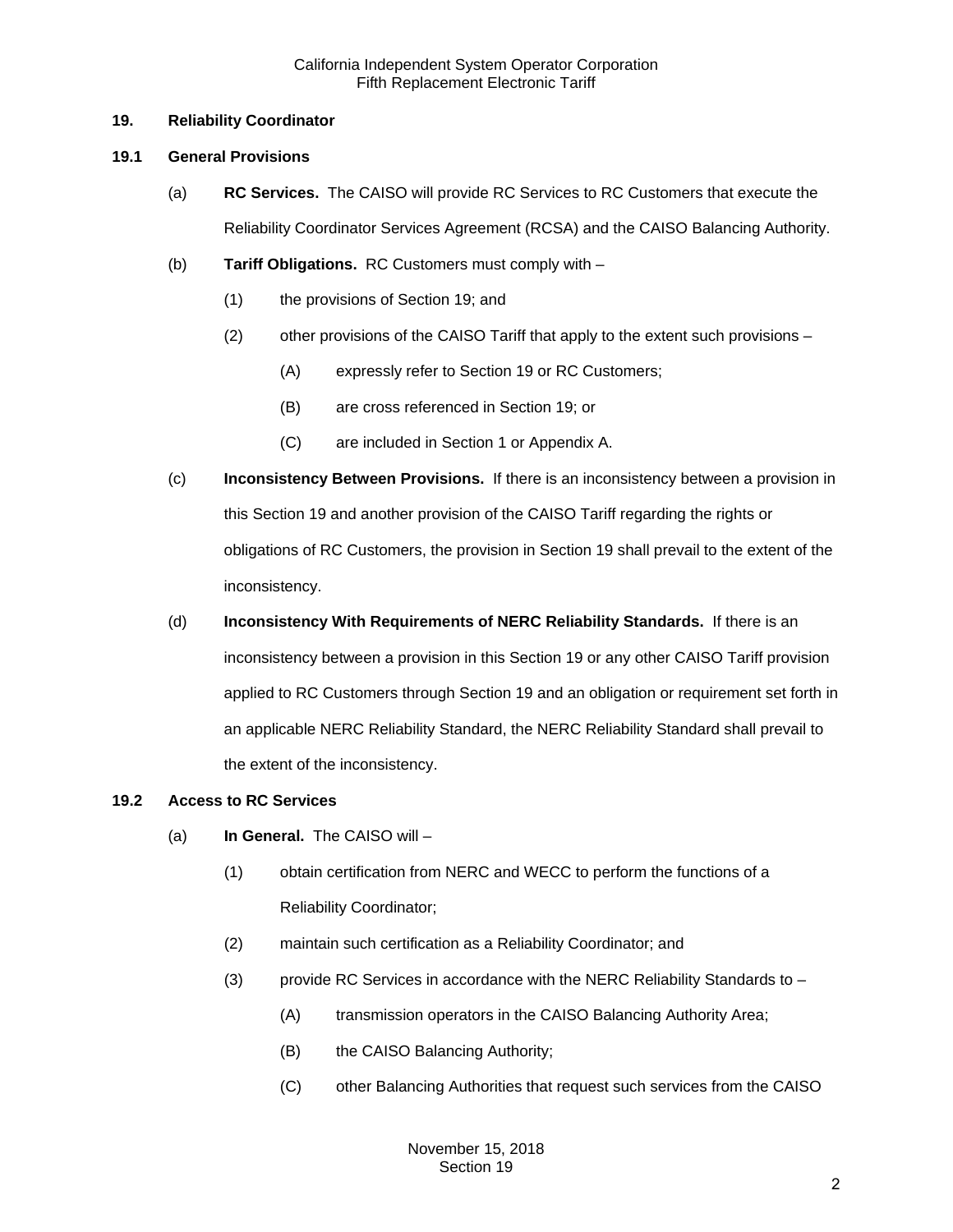## <span id="page-1-0"></span>**19. Reliability Coordinator**

## <span id="page-1-1"></span>**19.1 General Provisions**

- (a) **RC Services.** The CAISO will provide RC Services to RC Customers that execute the Reliability Coordinator Services Agreement (RCSA) and the CAISO Balancing Authority.
- (b) **Tariff Obligations.** RC Customers must comply with
	- (1) the provisions of Section 19; and
	- (2) other provisions of the CAISO Tariff that apply to the extent such provisions
		- (A) expressly refer to Section 19 or RC Customers;
		- (B) are cross referenced in Section 19; or
		- (C) are included in Section 1 or Appendix A.
- (c) **Inconsistency Between Provisions.** If there is an inconsistency between a provision in this Section 19 and another provision of the CAISO Tariff regarding the rights or obligations of RC Customers, the provision in Section 19 shall prevail to the extent of the inconsistency.
- (d) **Inconsistency With Requirements of NERC Reliability Standards.** If there is an inconsistency between a provision in this Section 19 or any other CAISO Tariff provision applied to RC Customers through Section 19 and an obligation or requirement set forth in an applicable NERC Reliability Standard, the NERC Reliability Standard shall prevail to the extent of the inconsistency.

## <span id="page-1-2"></span>**19.2 Access to RC Services**

- (a) **In General.** The CAISO will
	- (1) obtain certification from NERC and WECC to perform the functions of a Reliability Coordinator;
	- (2) maintain such certification as a Reliability Coordinator; and
	- (3) provide RC Services in accordance with the NERC Reliability Standards to
		- (A) transmission operators in the CAISO Balancing Authority Area;
		- (B) the CAISO Balancing Authority;
		- (C) other Balancing Authorities that request such services from the CAISO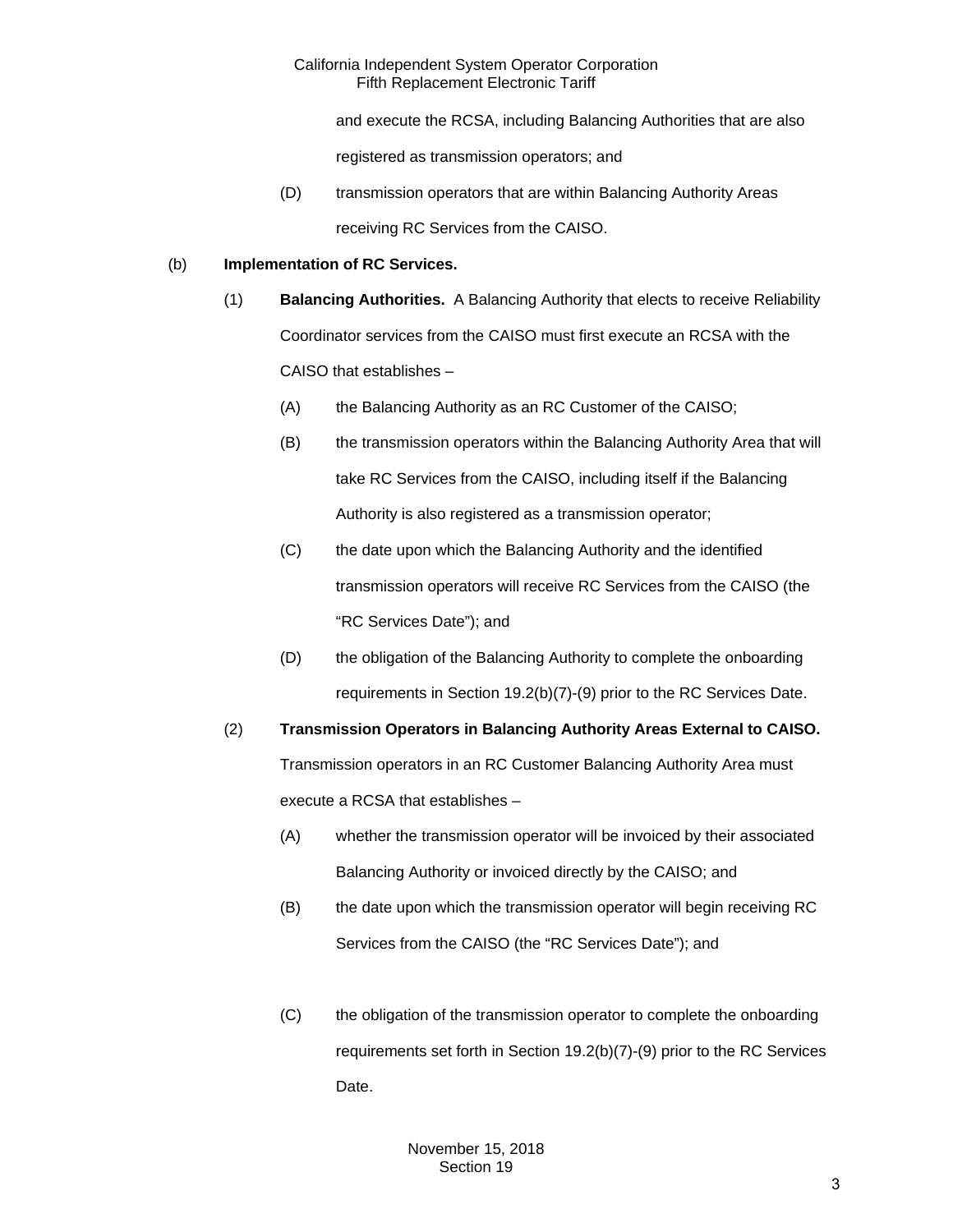and execute the RCSA, including Balancing Authorities that are also

registered as transmission operators; and

(D) transmission operators that are within Balancing Authority Areas receiving RC Services from the CAISO.

## (b) **Implementation of RC Services.**

- (1) **Balancing Authorities.** A Balancing Authority that elects to receive Reliability Coordinator services from the CAISO must first execute an RCSA with the CAISO that establishes –
	- (A) the Balancing Authority as an RC Customer of the CAISO;
	- (B) the transmission operators within the Balancing Authority Area that will take RC Services from the CAISO, including itself if the Balancing Authority is also registered as a transmission operator;
	- (C) the date upon which the Balancing Authority and the identified transmission operators will receive RC Services from the CAISO (the "RC Services Date"); and
	- (D) the obligation of the Balancing Authority to complete the onboarding requirements in Section 19.2(b)(7)-(9) prior to the RC Services Date.

(2) **Transmission Operators in Balancing Authority Areas External to CAISO.**  Transmission operators in an RC Customer Balancing Authority Area must execute a RCSA that establishes –

- (A) whether the transmission operator will be invoiced by their associated Balancing Authority or invoiced directly by the CAISO; and
- (B) the date upon which the transmission operator will begin receiving RC Services from the CAISO (the "RC Services Date"); and
- (C) the obligation of the transmission operator to complete the onboarding requirements set forth in Section 19.2(b)(7)-(9) prior to the RC Services Date.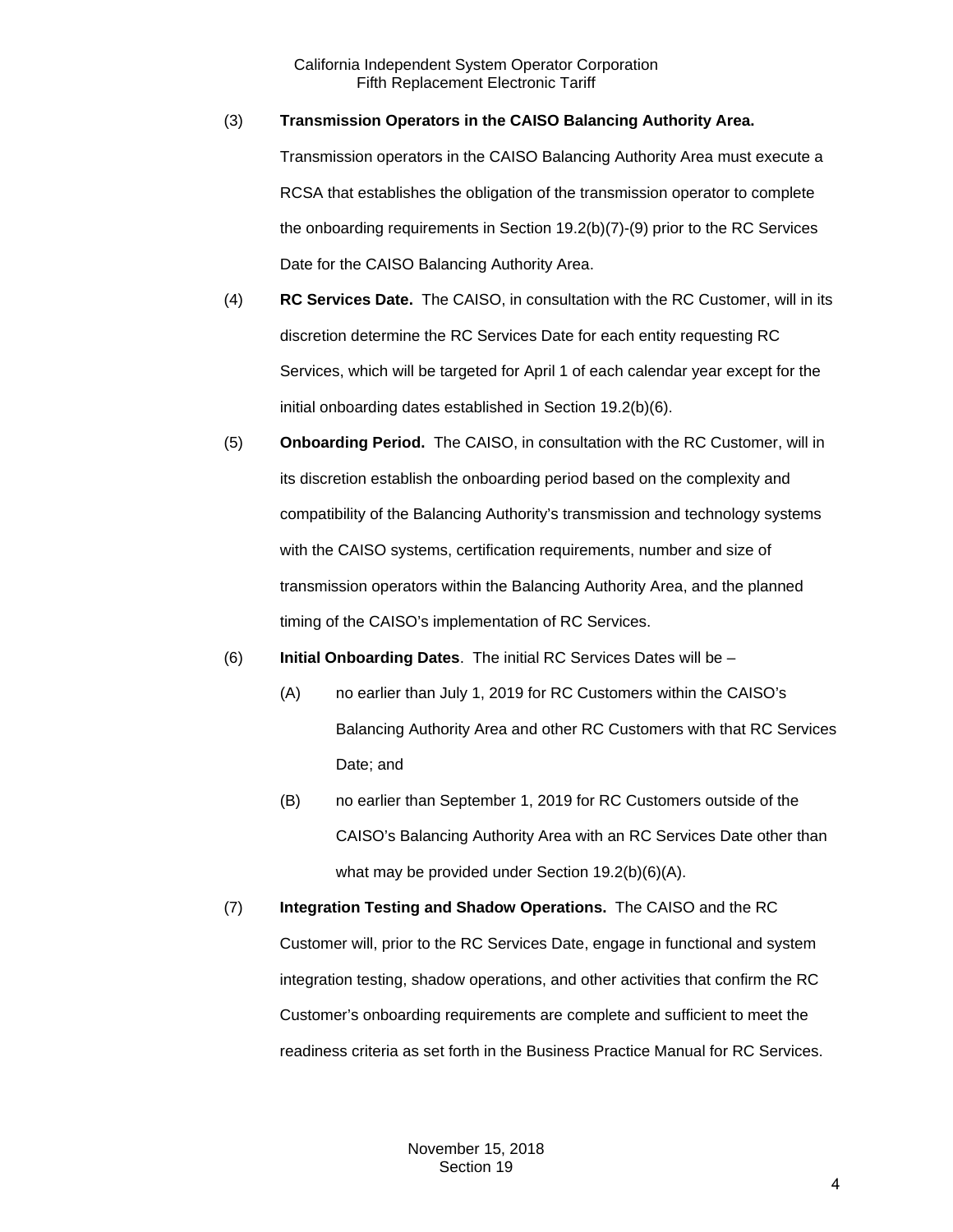### (3) **Transmission Operators in the CAISO Balancing Authority Area.**

Transmission operators in the CAISO Balancing Authority Area must execute a RCSA that establishes the obligation of the transmission operator to complete the onboarding requirements in Section 19.2(b)(7)-(9) prior to the RC Services Date for the CAISO Balancing Authority Area.

- (4) **RC Services Date.** The CAISO, in consultation with the RC Customer, will in its discretion determine the RC Services Date for each entity requesting RC Services, which will be targeted for April 1 of each calendar year except for the initial onboarding dates established in Section 19.2(b)(6).
- (5) **Onboarding Period.** The CAISO, in consultation with the RC Customer, will in its discretion establish the onboarding period based on the complexity and compatibility of the Balancing Authority's transmission and technology systems with the CAISO systems, certification requirements, number and size of transmission operators within the Balancing Authority Area, and the planned timing of the CAISO's implementation of RC Services.
- (6) **Initial Onboarding Dates**. The initial RC Services Dates will be
	- (A) no earlier than July 1, 2019 for RC Customers within the CAISO's Balancing Authority Area and other RC Customers with that RC Services Date; and
	- (B) no earlier than September 1, 2019 for RC Customers outside of the CAISO's Balancing Authority Area with an RC Services Date other than what may be provided under Section 19.2(b)(6)(A).
- (7) **Integration Testing and Shadow Operations.** The CAISO and the RC Customer will, prior to the RC Services Date, engage in functional and system integration testing, shadow operations, and other activities that confirm the RC Customer's onboarding requirements are complete and sufficient to meet the readiness criteria as set forth in the Business Practice Manual for RC Services.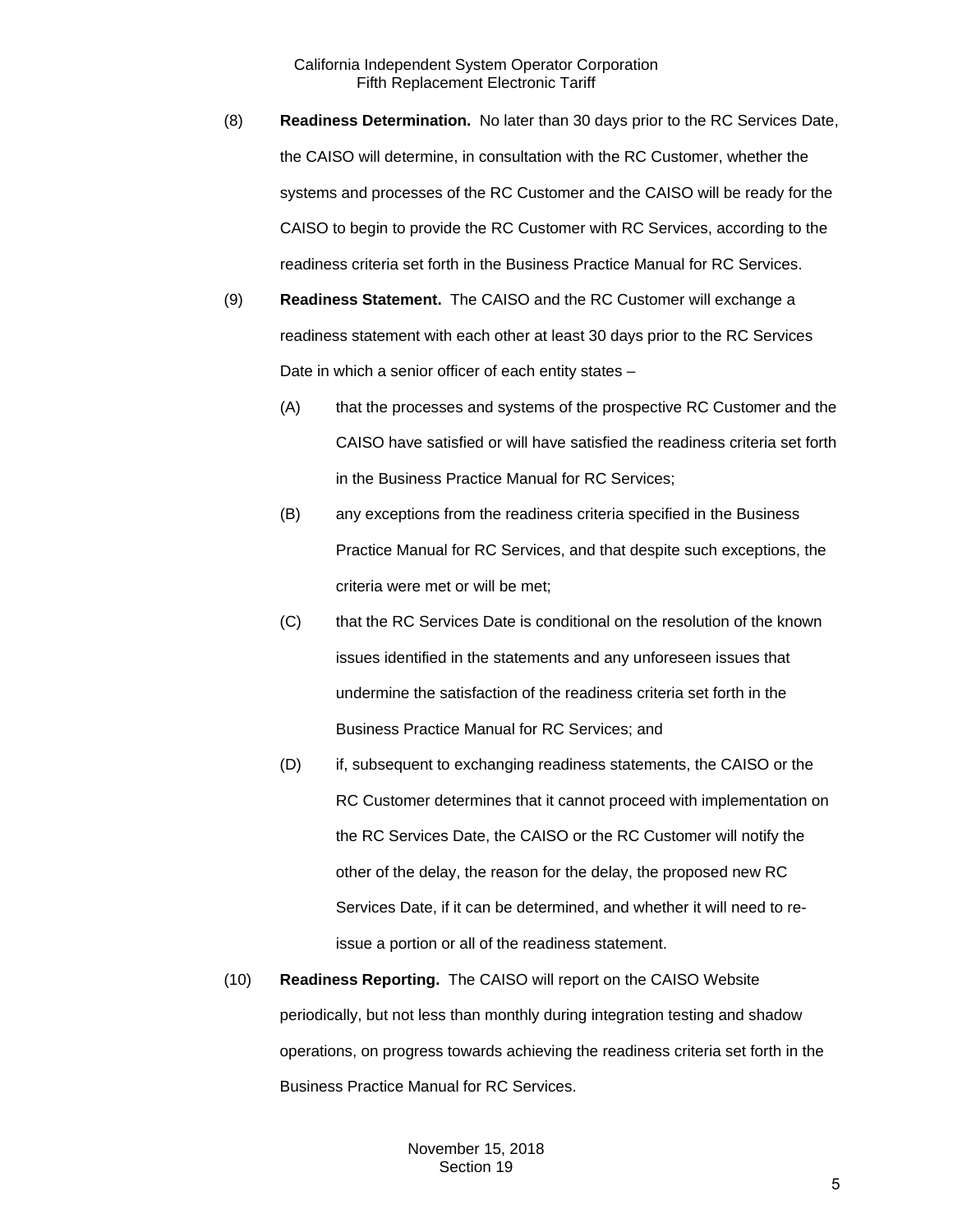- (8) **Readiness Determination.** No later than 30 days prior to the RC Services Date, the CAISO will determine, in consultation with the RC Customer, whether the systems and processes of the RC Customer and the CAISO will be ready for the CAISO to begin to provide the RC Customer with RC Services, according to the readiness criteria set forth in the Business Practice Manual for RC Services.
- (9) **Readiness Statement.** The CAISO and the RC Customer will exchange a readiness statement with each other at least 30 days prior to the RC Services Date in which a senior officer of each entity states –
	- (A) that the processes and systems of the prospective RC Customer and the CAISO have satisfied or will have satisfied the readiness criteria set forth in the Business Practice Manual for RC Services;
	- (B) any exceptions from the readiness criteria specified in the Business Practice Manual for RC Services, and that despite such exceptions, the criteria were met or will be met;
	- (C) that the RC Services Date is conditional on the resolution of the known issues identified in the statements and any unforeseen issues that undermine the satisfaction of the readiness criteria set forth in the Business Practice Manual for RC Services; and
	- (D) if, subsequent to exchanging readiness statements, the CAISO or the RC Customer determines that it cannot proceed with implementation on the RC Services Date, the CAISO or the RC Customer will notify the other of the delay, the reason for the delay, the proposed new RC Services Date, if it can be determined, and whether it will need to reissue a portion or all of the readiness statement.
- (10) **Readiness Reporting.** The CAISO will report on the CAISO Website periodically, but not less than monthly during integration testing and shadow operations, on progress towards achieving the readiness criteria set forth in the Business Practice Manual for RC Services.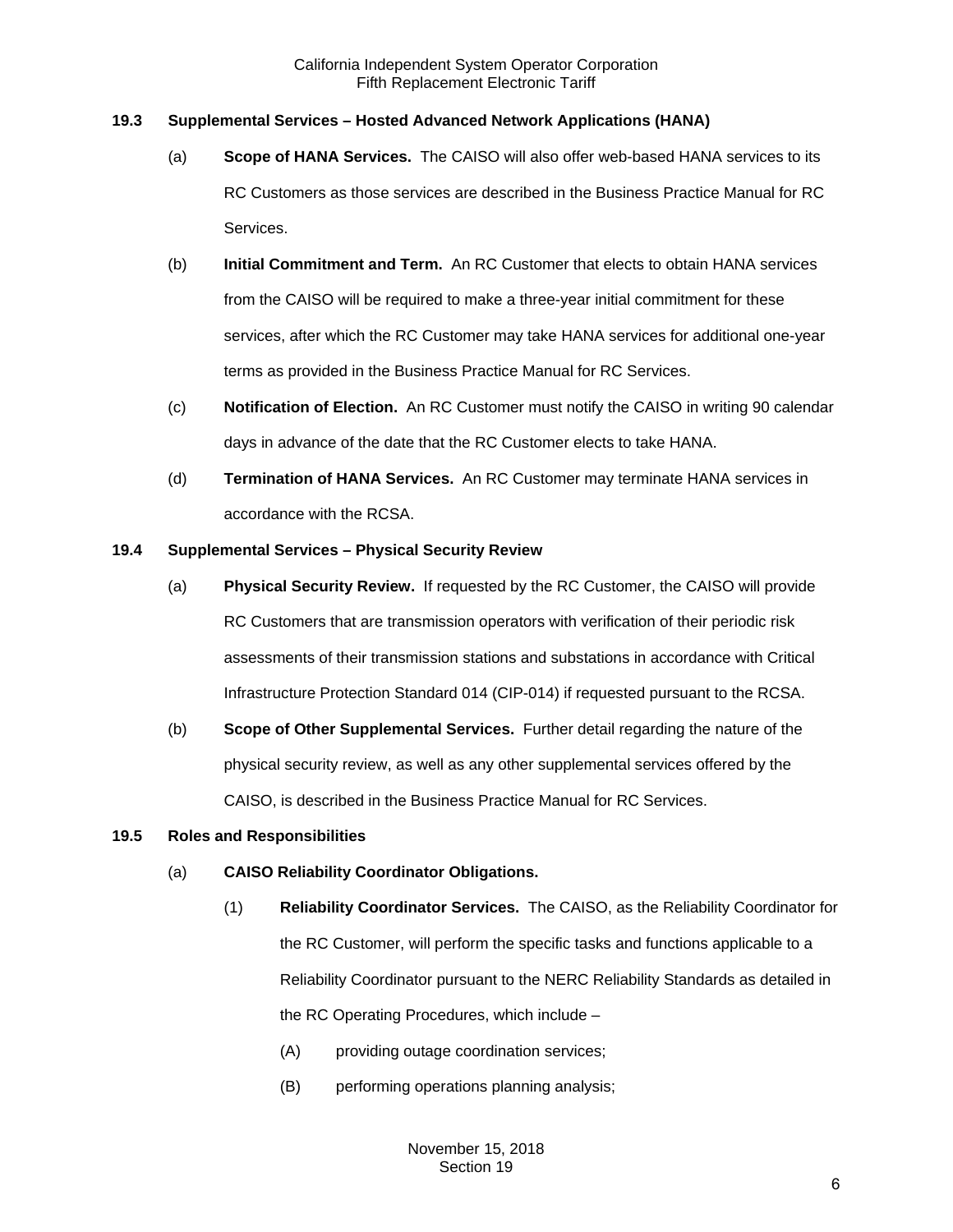## <span id="page-5-0"></span>**19.3 Supplemental Services – Hosted Advanced Network Applications (HANA)**

- (a) **Scope of HANA Services.** The CAISO will also offer web-based HANA services to its RC Customers as those services are described in the Business Practice Manual for RC Services.
- (b) **Initial Commitment and Term.** An RC Customer that elects to obtain HANA services from the CAISO will be required to make a three-year initial commitment for these services, after which the RC Customer may take HANA services for additional one-year terms as provided in the Business Practice Manual for RC Services.
- (c) **Notification of Election.** An RC Customer must notify the CAISO in writing 90 calendar days in advance of the date that the RC Customer elects to take HANA.
- (d) **Termination of HANA Services.** An RC Customer may terminate HANA services in accordance with the RCSA.

### <span id="page-5-1"></span>**19.4 Supplemental Services – Physical Security Review**

- (a) **Physical Security Review.** If requested by the RC Customer, the CAISO will provide RC Customers that are transmission operators with verification of their periodic risk assessments of their transmission stations and substations in accordance with Critical Infrastructure Protection Standard 014 (CIP-014) if requested pursuant to the RCSA.
- (b) **Scope of Other Supplemental Services.** Further detail regarding the nature of the physical security review, as well as any other supplemental services offered by the CAISO, is described in the Business Practice Manual for RC Services.

#### <span id="page-5-2"></span>**19.5 Roles and Responsibilities**

- (a) **CAISO Reliability Coordinator Obligations.**
	- (1) **Reliability Coordinator Services.** The CAISO, as the Reliability Coordinator for the RC Customer, will perform the specific tasks and functions applicable to a Reliability Coordinator pursuant to the NERC Reliability Standards as detailed in the RC Operating Procedures, which include –
		- (A) providing outage coordination services;
		- (B) performing operations planning analysis;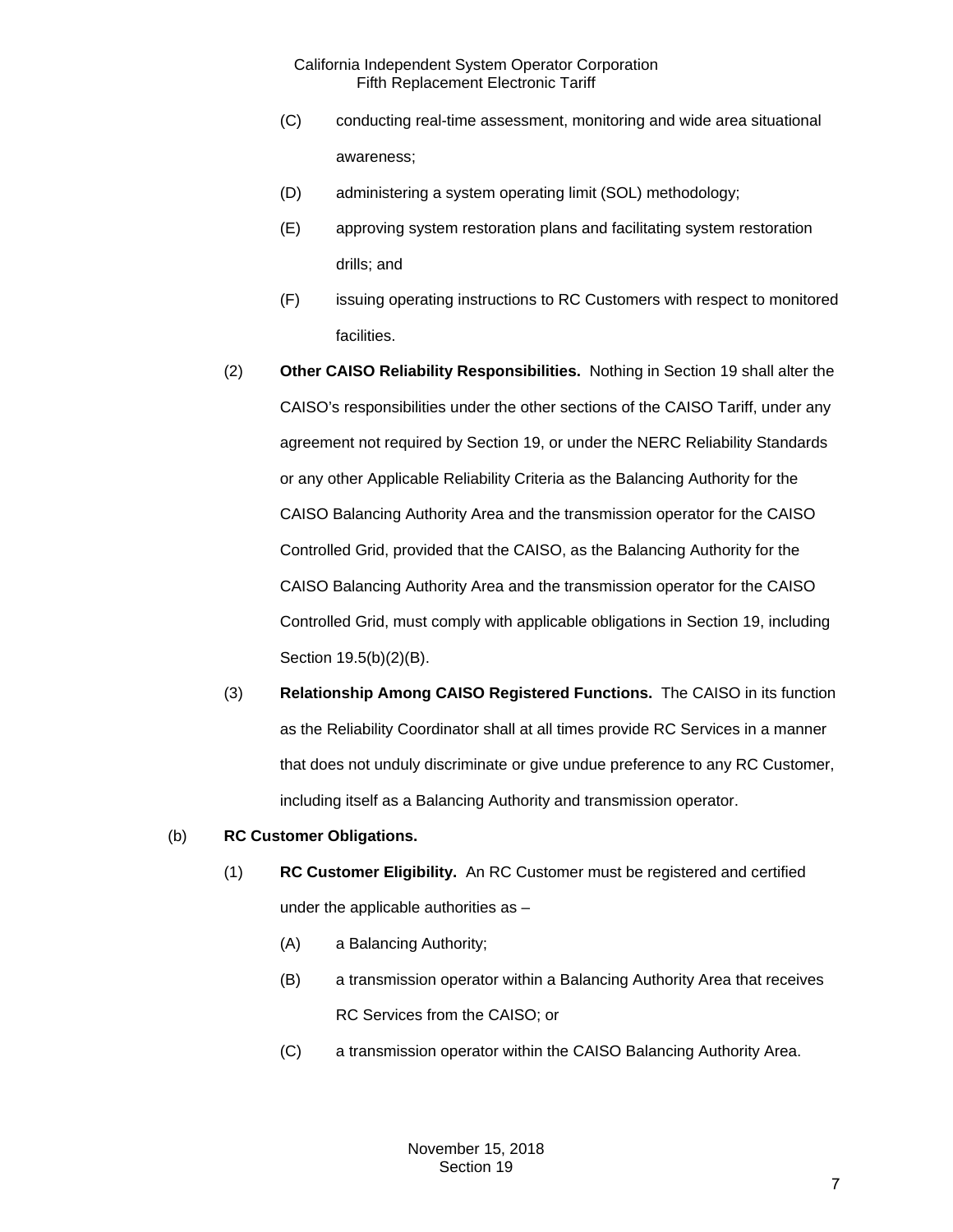- (C) conducting real-time assessment, monitoring and wide area situational awareness;
- (D) administering a system operating limit (SOL) methodology;
- (E) approving system restoration plans and facilitating system restoration drills; and
- (F) issuing operating instructions to RC Customers with respect to monitored facilities.
- (2) **Other CAISO Reliability Responsibilities.** Nothing in Section 19 shall alter the CAISO's responsibilities under the other sections of the CAISO Tariff, under any agreement not required by Section 19, or under the NERC Reliability Standards or any other Applicable Reliability Criteria as the Balancing Authority for the CAISO Balancing Authority Area and the transmission operator for the CAISO Controlled Grid, provided that the CAISO, as the Balancing Authority for the CAISO Balancing Authority Area and the transmission operator for the CAISO Controlled Grid, must comply with applicable obligations in Section 19, including Section 19.5(b)(2)(B).
- (3) **Relationship Among CAISO Registered Functions.** The CAISO in its function as the Reliability Coordinator shall at all times provide RC Services in a manner that does not unduly discriminate or give undue preference to any RC Customer, including itself as a Balancing Authority and transmission operator.

#### (b) **RC Customer Obligations.**

- (1) **RC Customer Eligibility.** An RC Customer must be registered and certified under the applicable authorities as –
	- (A) a Balancing Authority;
	- (B) a transmission operator within a Balancing Authority Area that receives RC Services from the CAISO; or
	- (C) a transmission operator within the CAISO Balancing Authority Area.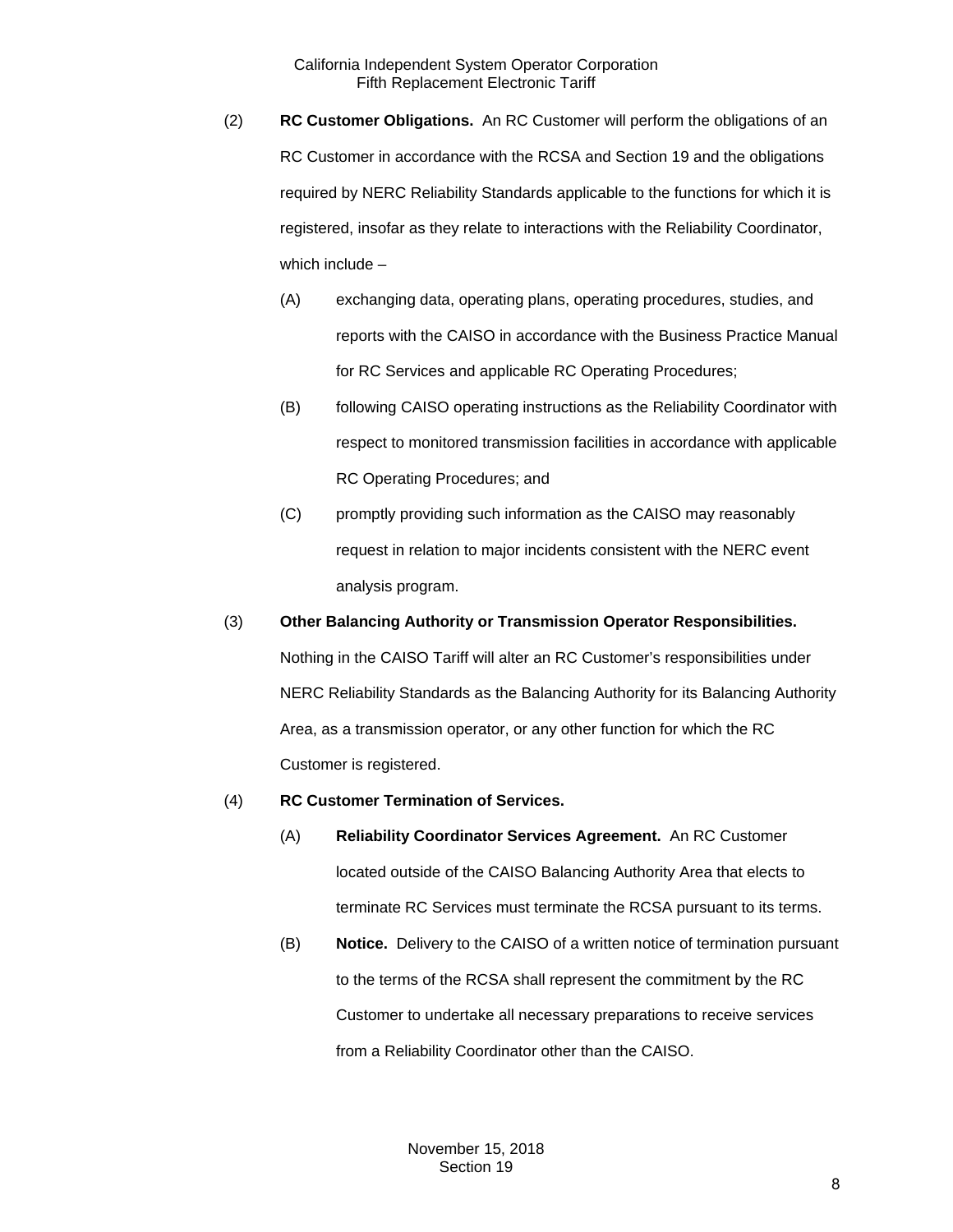- (2) **RC Customer Obligations.** An RC Customer will perform the obligations of an RC Customer in accordance with the RCSA and Section 19 and the obligations required by NERC Reliability Standards applicable to the functions for which it is registered, insofar as they relate to interactions with the Reliability Coordinator, which include –
	- (A) exchanging data, operating plans, operating procedures, studies, and reports with the CAISO in accordance with the Business Practice Manual for RC Services and applicable RC Operating Procedures;
	- (B) following CAISO operating instructions as the Reliability Coordinator with respect to monitored transmission facilities in accordance with applicable RC Operating Procedures; and
	- (C) promptly providing such information as the CAISO may reasonably request in relation to major incidents consistent with the NERC event analysis program.
- (3) **Other Balancing Authority or Transmission Operator Responsibilities.** Nothing in the CAISO Tariff will alter an RC Customer's responsibilities under NERC Reliability Standards as the Balancing Authority for its Balancing Authority Area, as a transmission operator, or any other function for which the RC Customer is registered.
- (4) **RC Customer Termination of Services.**
	- (A) **Reliability Coordinator Services Agreement.** An RC Customer located outside of the CAISO Balancing Authority Area that elects to terminate RC Services must terminate the RCSA pursuant to its terms.
	- (B) **Notice.** Delivery to the CAISO of a written notice of termination pursuant to the terms of the RCSA shall represent the commitment by the RC Customer to undertake all necessary preparations to receive services from a Reliability Coordinator other than the CAISO.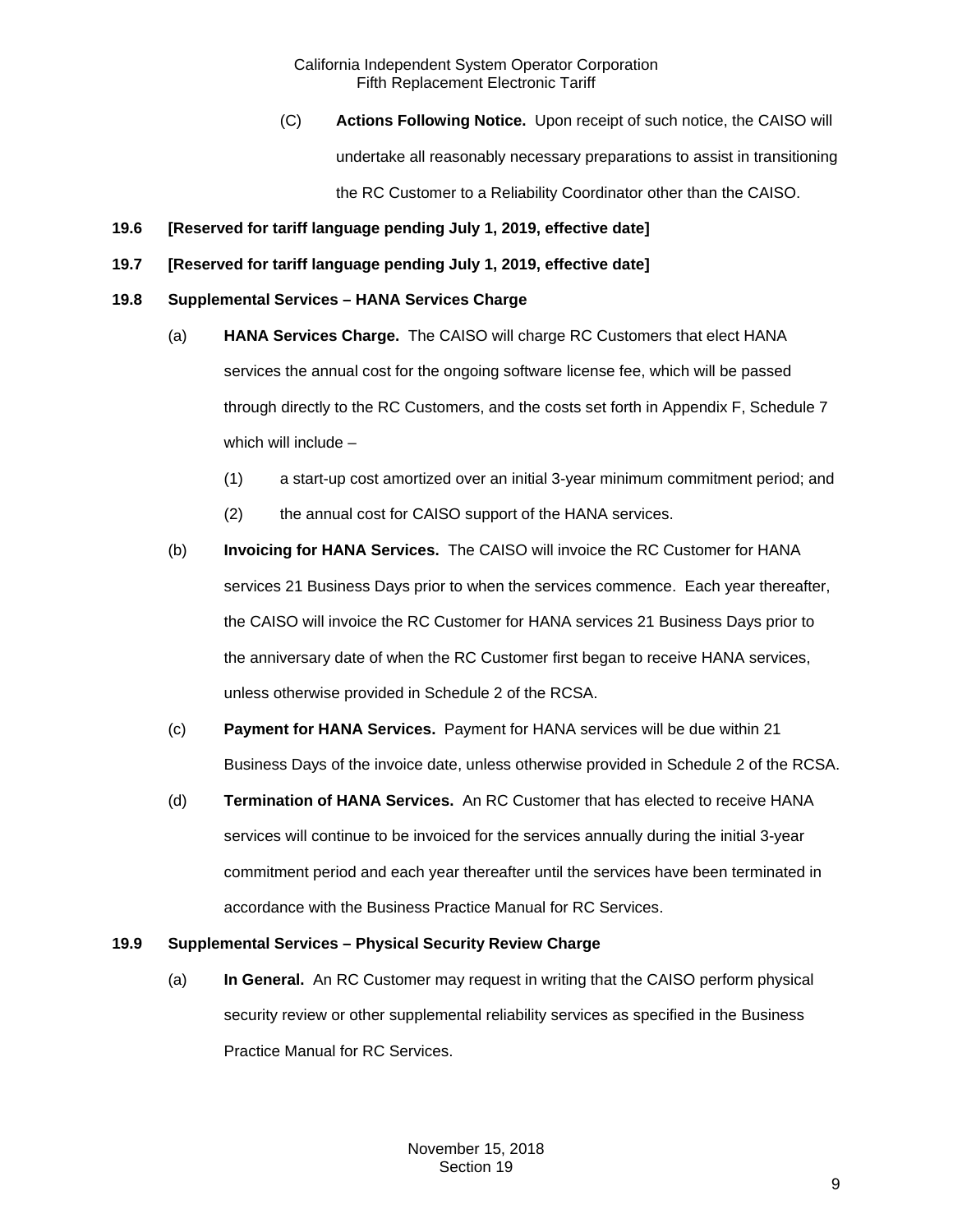(C) **Actions Following Notice.** Upon receipt of such notice, the CAISO will

undertake all reasonably necessary preparations to assist in transitioning

the RC Customer to a Reliability Coordinator other than the CAISO.

- <span id="page-8-0"></span>**19.6 [Reserved for tariff language pending July 1, 2019, effective date]**
- <span id="page-8-1"></span>**19.7 [Reserved for tariff language pending July 1, 2019, effective date]**

# <span id="page-8-2"></span>**19.8 Supplemental Services – HANA Services Charge**

- (a) **HANA Services Charge.** The CAISO will charge RC Customers that elect HANA services the annual cost for the ongoing software license fee, which will be passed through directly to the RC Customers, and the costs set forth in Appendix F, Schedule 7 which will include –
	- (1) a start-up cost amortized over an initial 3-year minimum commitment period; and
	- (2) the annual cost for CAISO support of the HANA services.
- (b) **Invoicing for HANA Services.** The CAISO will invoice the RC Customer for HANA services 21 Business Days prior to when the services commence. Each year thereafter, the CAISO will invoice the RC Customer for HANA services 21 Business Days prior to the anniversary date of when the RC Customer first began to receive HANA services, unless otherwise provided in Schedule 2 of the RCSA.
- (c) **Payment for HANA Services.** Payment for HANA services will be due within 21 Business Days of the invoice date, unless otherwise provided in Schedule 2 of the RCSA.
- (d) **Termination of HANA Services.** An RC Customer that has elected to receive HANA services will continue to be invoiced for the services annually during the initial 3-year commitment period and each year thereafter until the services have been terminated in accordance with the Business Practice Manual for RC Services.

# <span id="page-8-3"></span>**19.9 Supplemental Services – Physical Security Review Charge**

(a) **In General.** An RC Customer may request in writing that the CAISO perform physical security review or other supplemental reliability services as specified in the Business Practice Manual for RC Services.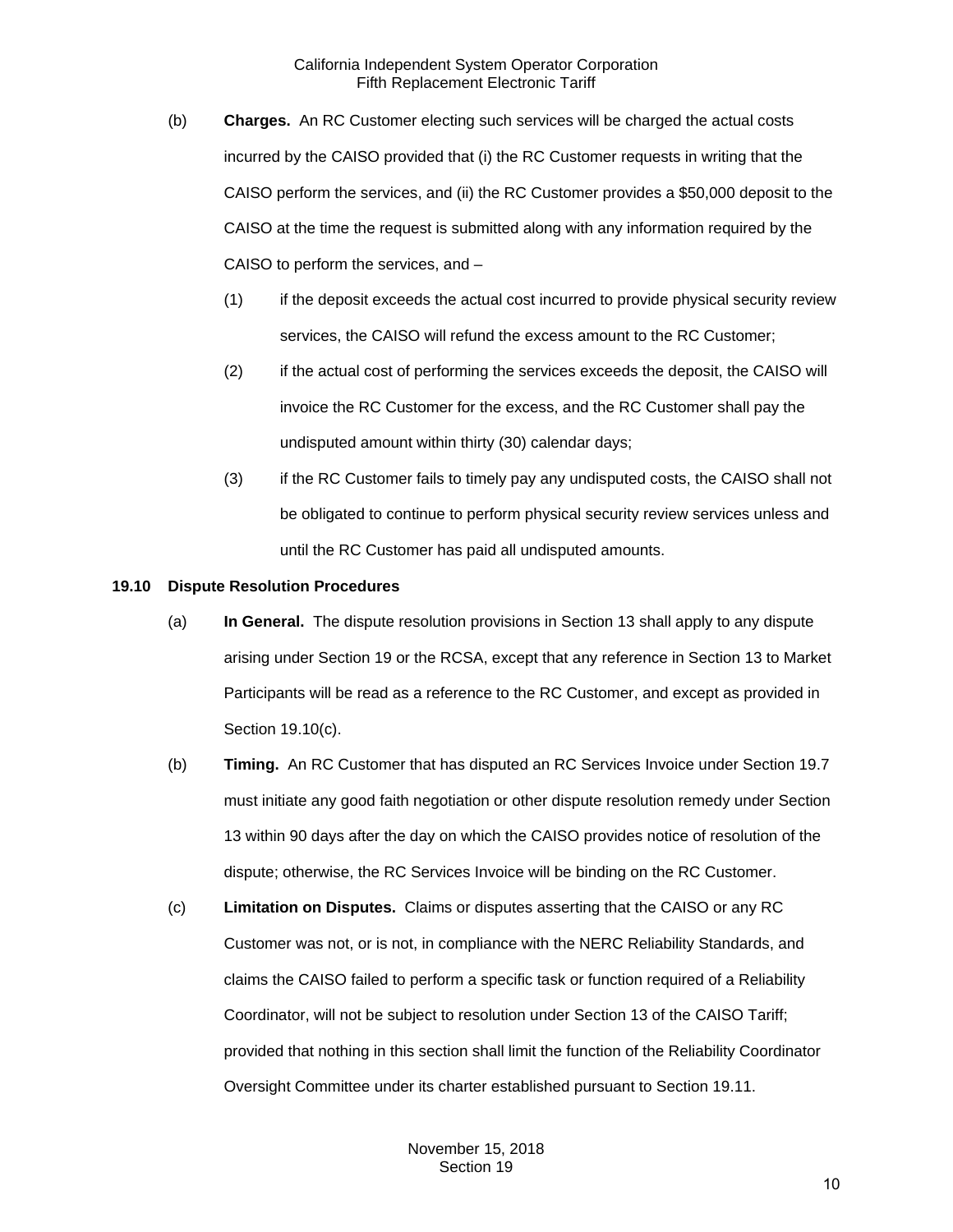- (b) **Charges.** An RC Customer electing such services will be charged the actual costs incurred by the CAISO provided that (i) the RC Customer requests in writing that the CAISO perform the services, and (ii) the RC Customer provides a \$50,000 deposit to the CAISO at the time the request is submitted along with any information required by the CAISO to perform the services, and –
	- (1) if the deposit exceeds the actual cost incurred to provide physical security review services, the CAISO will refund the excess amount to the RC Customer;
	- (2) if the actual cost of performing the services exceeds the deposit, the CAISO will invoice the RC Customer for the excess, and the RC Customer shall pay the undisputed amount within thirty (30) calendar days;
	- (3) if the RC Customer fails to timely pay any undisputed costs, the CAISO shall not be obligated to continue to perform physical security review services unless and until the RC Customer has paid all undisputed amounts.

#### <span id="page-9-0"></span>**19.10 Dispute Resolution Procedures**

- (a) **In General.** The dispute resolution provisions in Section 13 shall apply to any dispute arising under Section 19 or the RCSA, except that any reference in Section 13 to Market Participants will be read as a reference to the RC Customer, and except as provided in Section 19.10(c).
- (b) **Timing.** An RC Customer that has disputed an RC Services Invoice under Section 19.7 must initiate any good faith negotiation or other dispute resolution remedy under Section 13 within 90 days after the day on which the CAISO provides notice of resolution of the dispute; otherwise, the RC Services Invoice will be binding on the RC Customer.
- (c) **Limitation on Disputes.** Claims or disputes asserting that the CAISO or any RC Customer was not, or is not, in compliance with the NERC Reliability Standards, and claims the CAISO failed to perform a specific task or function required of a Reliability Coordinator, will not be subject to resolution under Section 13 of the CAISO Tariff; provided that nothing in this section shall limit the function of the Reliability Coordinator Oversight Committee under its charter established pursuant to Section 19.11.